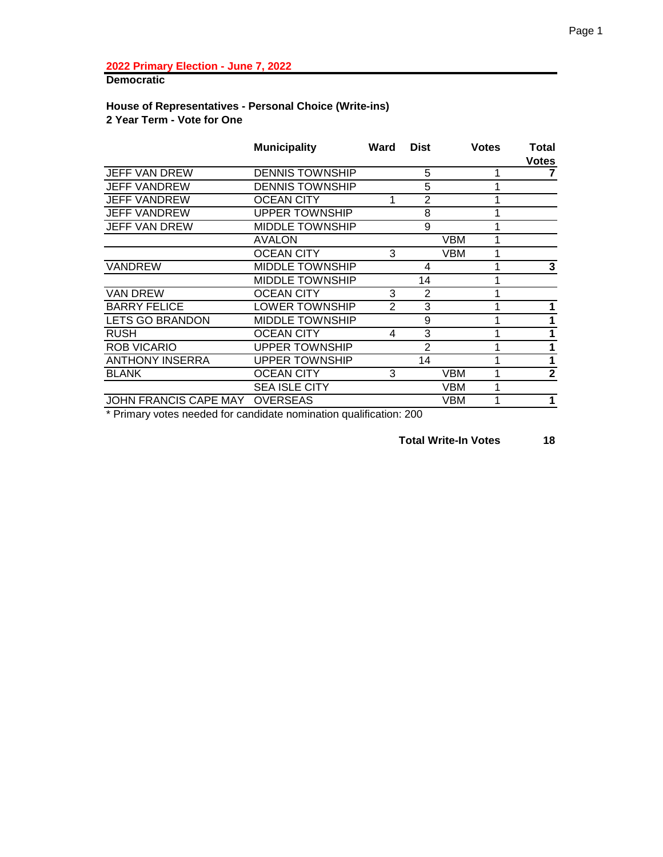**Democratic**

#### **House of Representatives - Personal Choice (Write-ins) 2 Year Term - Vote for One**

|                        | <b>Municipality</b>    | Ward | <b>Dist</b>    |            | <b>Votes</b> | Total<br><b>Votes</b> |
|------------------------|------------------------|------|----------------|------------|--------------|-----------------------|
| <b>JEFF VAN DREW</b>   | <b>DENNIS TOWNSHIP</b> |      | 5              |            |              |                       |
| <b>JEFF VANDREW</b>    | <b>DENNIS TOWNSHIP</b> |      | 5              |            |              |                       |
| <b>JEFF VANDREW</b>    | <b>OCEAN CITY</b>      |      | $\overline{2}$ |            |              |                       |
| <b>JEFF VANDREW</b>    | <b>UPPER TOWNSHIP</b>  |      | 8              |            |              |                       |
| <b>JEFF VAN DREW</b>   | <b>MIDDLE TOWNSHIP</b> |      | 9              |            |              |                       |
|                        | <b>AVALON</b>          |      |                | <b>VBM</b> |              |                       |
|                        | <b>OCEAN CITY</b>      | 3    |                | <b>VBM</b> |              |                       |
| VANDREW                | <b>MIDDLE TOWNSHIP</b> |      | 4              |            |              | 3                     |
|                        | <b>MIDDLE TOWNSHIP</b> |      | 14             |            |              |                       |
| <b>VAN DREW</b>        | OCEAN CITY             | 3    | 2              |            |              |                       |
| <b>BARRY FELICE</b>    | LOWER TOWNSHIP         | 2    | 3              |            |              |                       |
| LETS GO BRANDON        | <b>MIDDLE TOWNSHIP</b> |      | 9              |            |              | 1                     |
| <b>RUSH</b>            | <b>OCEAN CITY</b>      | 4    | 3              |            |              | 1                     |
| <b>ROB VICARIO</b>     | <b>UPPER TOWNSHIP</b>  |      | $\overline{2}$ |            |              | 1                     |
| <b>ANTHONY INSERRA</b> | <b>UPPER TOWNSHIP</b>  |      | 14             |            |              | 1                     |
| <b>BLANK</b>           | <b>OCEAN CITY</b>      | 3    |                | <b>VBM</b> |              | $\mathbf{2}$          |
|                        | <b>SEA ISLE CITY</b>   |      |                | VBM        |              |                       |
| JOHN FRANCIS CAPE MAY  | <b>OVERSEAS</b>        |      |                | VBM        |              | 1                     |

\* Primary votes needed for candidate nomination qualification: 200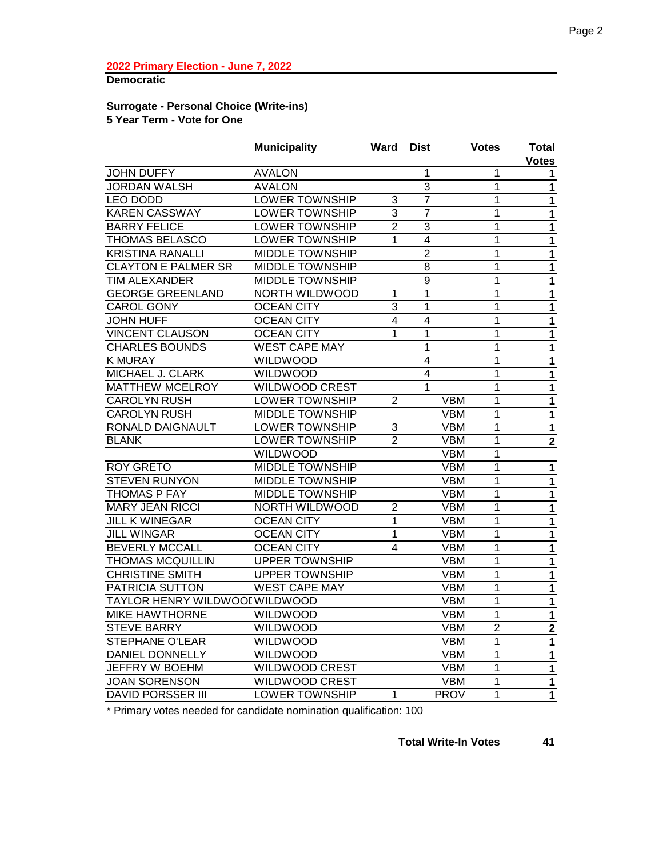# **Democratic**

#### **Surrogate - Personal Choice (Write-ins) 5 Year Term - Vote for One**

|                                | <b>Municipality</b>    | Ward           | <b>Dist</b>    |             | <b>Votes</b>   | Total<br><b>Votes</b>       |
|--------------------------------|------------------------|----------------|----------------|-------------|----------------|-----------------------------|
| <b>JOHN DUFFY</b>              | <b>AVALON</b>          |                | 1              |             | 1              | 1                           |
| <b>JORDAN WALSH</b>            | <b>AVALON</b>          |                | $\overline{3}$ |             | $\overline{1}$ | $\mathbf{1}$                |
| <b>LEO DODD</b>                | <b>LOWER TOWNSHIP</b>  | 3              | 7              |             | 1              | $\mathbf{1}$                |
| <b>KAREN CASSWAY</b>           | <b>LOWER TOWNSHIP</b>  | 3              | $\overline{7}$ |             | $\mathbf{1}$   | $\mathbf 1$                 |
| <b>BARRY FELICE</b>            | <b>LOWER TOWNSHIP</b>  | $\overline{2}$ | 3              |             | 1              | $\mathbf{1}$                |
| <b>THOMAS BELASCO</b>          | <b>LOWER TOWNSHIP</b>  | 1              | $\overline{4}$ |             | 1              | $\mathbf{1}$                |
| <b>KRISTINA RANALLI</b>        | <b>MIDDLE TOWNSHIP</b> |                | $\overline{2}$ |             | $\overline{1}$ | $\mathbf{1}$                |
| <b>CLAYTON E PALMER SR</b>     | <b>MIDDLE TOWNSHIP</b> |                | $\overline{8}$ |             | 1              | $\mathbf{1}$                |
| <b>TIM ALEXANDER</b>           | <b>MIDDLE TOWNSHIP</b> |                | 9              |             | 1              | $\mathbf{1}$                |
| <b>GEORGE GREENLAND</b>        | <b>NORTH WILDWOOD</b>  | 1              | 1              |             | 1              | $\mathbf 1$                 |
| <b>CAROL GONY</b>              | <b>OCEAN CITY</b>      | 3              | 1              |             | 1              | $\mathbf{1}$                |
| <b>JOHN HUFF</b>               | <b>OCEAN CITY</b>      | 4              | 4              |             | 1              | $\mathbf{1}$                |
| <b>VINCENT CLAUSON</b>         | <b>OCEAN CITY</b>      | 1              | 1              |             | $\mathbf{1}$   | $\mathbf 1$                 |
| <b>CHARLES BOUNDS</b>          | <b>WEST CAPE MAY</b>   |                | 1              |             | 1              | $\mathbf 1$                 |
| <b>K MURAY</b>                 | WILDWOOD               |                | 4              |             | 1              | $\mathbf 1$                 |
| MICHAEL J. CLARK               | <b>WILDWOOD</b>        |                | 4              |             | 1              | $\mathbf{1}$                |
| <b>MATTHEW MCELROY</b>         | <b>WILDWOOD CREST</b>  |                | 1              |             | 1              | $\mathbf 1$                 |
| <b>CAROLYN RUSH</b>            | <b>LOWER TOWNSHIP</b>  | $\overline{2}$ |                | <b>VBM</b>  | $\mathbf 1$    | $\mathbf{1}$                |
| <b>CAROLYN RUSH</b>            | MIDDLE TOWNSHIP        |                |                | <b>VBM</b>  | 1              | $\mathbf{1}$                |
| RONALD DAIGNAULT               | <b>LOWER TOWNSHIP</b>  | 3              |                | <b>VBM</b>  | 1              | $\mathbf{1}$                |
| <b>BLANK</b>                   | <b>LOWER TOWNSHIP</b>  | $\overline{2}$ |                | <b>VBM</b>  | 1              | $\overline{2}$              |
|                                | WILDWOOD               |                |                | <b>VBM</b>  | 1              |                             |
| <b>ROY GRETO</b>               | <b>MIDDLE TOWNSHIP</b> |                |                | <b>VBM</b>  | $\mathbf{1}$   | $\mathbf{1}$                |
| <b>STEVEN RUNYON</b>           | <b>MIDDLE TOWNSHIP</b> |                |                | <b>VBM</b>  | 1              | $\mathbf 1$                 |
| <b>THOMAS P FAY</b>            | <b>MIDDLE TOWNSHIP</b> |                |                | <b>VBM</b>  | 1              | $\mathbf{1}$                |
| <b>MARY JEAN RICCI</b>         | <b>NORTH WILDWOOD</b>  | $\overline{2}$ |                | <b>VBM</b>  | $\overline{1}$ | $\overline{\mathbf{1}}$     |
| <b>JILL K WINEGAR</b>          | <b>OCEAN CITY</b>      | 1              |                | <b>VBM</b>  | 1              | $\mathbf{1}$                |
| <b>JILL WINGAR</b>             | <b>OCEAN CITY</b>      | 1              |                | <b>VBM</b>  | 1              | $\mathbf{1}$                |
| <b>BEVERLY MCCALL</b>          | <b>OCEAN CITY</b>      | $\overline{4}$ |                | <b>VBM</b>  | $\mathbf 1$    | $\overline{1}$              |
| <b>THOMAS MCQUILLIN</b>        | <b>UPPER TOWNSHIP</b>  |                |                | <b>VBM</b>  | 1              | $\mathbf{1}$                |
| <b>CHRISTINE SMITH</b>         | <b>UPPER TOWNSHIP</b>  |                |                | <b>VBM</b>  | $\mathbf 1$    | $\mathbf 1$                 |
| <b>PATRICIA SUTTON</b>         | <b>WEST CAPE MAY</b>   |                |                | <b>VBM</b>  | $\overline{1}$ |                             |
| TAYLOR HENRY WILDWOOI WILDWOOD |                        |                |                | <b>VBM</b>  | 1              | $\mathbf 1$<br>$\mathbf{1}$ |
| <b>MIKE HAWTHORNE</b>          | <b>WILDWOOD</b>        |                |                | <b>VBM</b>  | $\mathbf 1$    | $\mathbf{1}$                |
| <b>STEVE BARRY</b>             | <b>WILDWOOD</b>        |                |                | <b>VBM</b>  | $\overline{2}$ | $\overline{2}$              |
| <b>STEPHANE O'LEAR</b>         | <b>WILDWOOD</b>        |                |                | <b>VBM</b>  | 1              | $\mathbf{1}$                |
| <b>DANIEL DONNELLY</b>         | <b>WILDWOOD</b>        |                |                | <b>VBM</b>  | $\overline{1}$ |                             |
| <b>JEFFRY W BOEHM</b>          | <b>WILDWOOD CREST</b>  |                |                | <b>VBM</b>  | 1              | $\mathbf{1}$                |
| <b>JOAN SORENSON</b>           | <b>WILDWOOD CREST</b>  |                |                | <b>VBM</b>  | 1              | $\mathbf{1}$                |
| <b>DAVID PORSSER III</b>       | <b>LOWER TOWNSHIP</b>  |                |                |             | 1              | $\mathbf{1}$                |
|                                |                        | 1              |                | <b>PROV</b> |                | $\overline{1}$              |

\* Primary votes needed for candidate nomination qualification: 100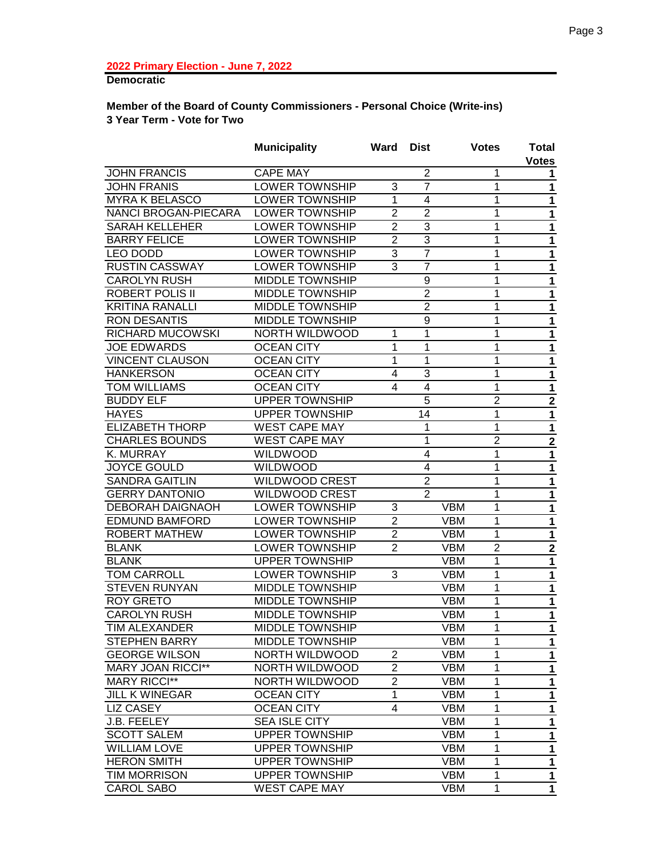# **Democratic**

## **Member of the Board of County Commissioners - Personal Choice (Write-ins) 3 Year Term - Vote for Two**

|                                            | <b>Municipality</b>                            | Ward           | <b>Dist</b>                      |            | <b>Votes</b>   | Total            |
|--------------------------------------------|------------------------------------------------|----------------|----------------------------------|------------|----------------|------------------|
|                                            |                                                |                |                                  |            |                | <b>Votes</b>     |
| <b>JOHN FRANCIS</b><br><b>JOHN FRANIS</b>  | <b>CAPE MAY</b><br>LOWER TOWNSHIP              |                | $\overline{2}$<br>$\overline{7}$ |            | 1<br>1         | 1                |
| <b>MYRA K BELASCO</b>                      | <b>LOWER TOWNSHIP</b>                          | 3<br>1         | $\overline{\mathbf{4}}$          |            | 1              | 1                |
| NANCI BROGAN-PIECARA                       | <b>LOWER TOWNSHIP</b>                          | $\overline{2}$ | $\overline{2}$                   |            | 1              | 1                |
| <b>SARAH KELLEHER</b>                      | <b>LOWER TOWNSHIP</b>                          | $\overline{2}$ | 3                                |            | 1              | 1                |
| <b>BARRY FELICE</b>                        | <b>LOWER TOWNSHIP</b>                          | $\overline{2}$ | 3                                |            | 1              | 1                |
| LEO DODD                                   | <b>LOWER TOWNSHIP</b>                          | $\overline{3}$ | $\overline{7}$                   |            | 1              | 1                |
| <b>RUSTIN CASSWAY</b>                      | <b>LOWER TOWNSHIP</b>                          | 3              | $\overline{7}$                   |            | 1              | 1                |
| <b>CAROLYN RUSH</b>                        | <b>MIDDLE TOWNSHIP</b>                         |                | 9                                |            | 1              | 1                |
| <b>ROBERT POLIS II</b>                     | <b>MIDDLE TOWNSHIP</b>                         |                | $\overline{2}$                   |            | 1              | 1                |
| <b>KRITINA RANALLI</b>                     | <b>MIDDLE TOWNSHIP</b>                         |                | $\overline{2}$                   |            | 1              | $\mathbf 1$      |
| <b>RON DESANTIS</b>                        | <b>MIDDLE TOWNSHIP</b>                         |                | 9                                |            |                | 1                |
|                                            |                                                |                | 1                                |            | 1              | 1                |
| RICHARD MUCOWSKI                           | <b>NORTH WILDWOOD</b>                          | 1<br>1         | 1                                |            | 1              | 1                |
| <b>JOE EDWARDS</b>                         | <b>OCEAN CITY</b>                              | 1              | 1                                |            | 1              | 1                |
| <b>VINCENT CLAUSON</b><br><b>HANKERSON</b> | OCEAN CITY<br><b>OCEAN CITY</b>                |                | 3                                |            | 1              | 1                |
| <b>TOM WILLIAMS</b>                        |                                                | 4<br>4         |                                  |            | 1<br>1         | 1                |
| <b>BUDDY ELF</b>                           | <b>OCEAN CITY</b>                              |                | 4<br>5                           |            | $\overline{2}$ | $\mathbf 1$      |
|                                            | <b>UPPER TOWNSHIP</b><br><b>UPPER TOWNSHIP</b> |                | 14                               |            |                | $\mathbf 2$      |
| <b>HAYES</b><br><b>ELIZABETH THORP</b>     | <b>WEST CAPE MAY</b>                           |                | 1                                |            | 1<br>1         | 1                |
| <b>CHARLES BOUNDS</b>                      | <b>WEST CAPE MAY</b>                           |                | 1                                |            | $\overline{2}$ | 1                |
| K. MURRAY                                  | WILDWOOD                                       |                | 4                                |            | 1              | $\boldsymbol{2}$ |
| <b>JOYCE GOULD</b>                         | WILDWOOD                                       |                | $\overline{4}$                   |            | 1              | 1<br>1           |
| <b>SANDRA GAITLIN</b>                      | <b>WILDWOOD CREST</b>                          |                | $\overline{2}$                   |            | 1              | 1                |
| <b>GERRY DANTONIO</b>                      | <b>WILDWOOD CREST</b>                          |                | $\overline{2}$                   |            | 1              | 1                |
| <b>DEBORAH DAIGNAOH</b>                    | <b>LOWER TOWNSHIP</b>                          | 3              |                                  | <b>VBM</b> | 1              | 1                |
| <b>EDMUND BAMFORD</b>                      | <b>LOWER TOWNSHIP</b>                          | $\overline{2}$ |                                  | <b>VBM</b> | 1              | $\mathbf 1$      |
| <b>ROBERT MATHEW</b>                       | <b>LOWER TOWNSHIP</b>                          | $\overline{2}$ |                                  | <b>VBM</b> | 1              | $\mathbf{1}$     |
| <b>BLANK</b>                               | <b>LOWER TOWNSHIP</b>                          | $\overline{2}$ |                                  | <b>VBM</b> | $\overline{2}$ | $\mathbf{2}$     |
| <b>BLANK</b>                               | <b>UPPER TOWNSHIP</b>                          |                |                                  | <b>VBM</b> | 1              | $\mathbf{1}$     |
| <b>TOM CARROLL</b>                         | <b>LOWER TOWNSHIP</b>                          | 3              |                                  | <b>VBM</b> | 1              | $\mathbf 1$      |
| <b>STEVEN RUNYAN</b>                       | <b>MIDDLE TOWNSHIP</b>                         |                |                                  | <b>VBM</b> | 1              | 1                |
| <b>ROY GRETO</b>                           | <b>MIDDLE TOWNSHIP</b>                         |                |                                  | <b>VBM</b> | 1              | $\mathbf{1}$     |
| <b>CAROLYN RUSH</b>                        | <b>MIDDLE TOWNSHIP</b>                         |                |                                  | <b>VBM</b> | 1              | 1                |
| TIM ALEXANDER                              | <b>MIDDLE TOWNSHIP</b>                         |                |                                  | <b>VBM</b> | 1              | 1                |
| <b>STEPHEN BARRY</b>                       | <b>MIDDLE TOWNSHIP</b>                         |                |                                  | <b>VBM</b> | 1              | 1                |
| <b>GEORGE WILSON</b>                       | NORTH WILDWOOD                                 | $\overline{2}$ |                                  | <b>VBM</b> | 1              | 1                |
| <b>MARY JOAN RICCI**</b>                   | NORTH WILDWOOD                                 | $\overline{2}$ |                                  | <b>VBM</b> | 1              | 1                |
| <b>MARY RICCI**</b>                        | NORTH WILDWOOD                                 | $\overline{2}$ |                                  | <b>VBM</b> | 1              | 1                |
| <b>JILL K WINEGAR</b>                      | <b>OCEAN CITY</b>                              | 1              |                                  | <b>VBM</b> | 1              | 1                |
| <b>LIZ CASEY</b>                           | <b>OCEAN CITY</b>                              | 4              |                                  | <b>VBM</b> | 1              | 1                |
| J.B. FEELEY                                | <b>SEA ISLE CITY</b>                           |                |                                  | <b>VBM</b> | 1              | 1                |
| <b>SCOTT SALEM</b>                         | <b>UPPER TOWNSHIP</b>                          |                |                                  | <b>VBM</b> | 1              | 1                |
| <b>WILLIAM LOVE</b>                        | <b>UPPER TOWNSHIP</b>                          |                |                                  | <b>VBM</b> | 1              | 1                |
| <b>HERON SMITH</b>                         | <b>UPPER TOWNSHIP</b>                          |                |                                  | <b>VBM</b> | 1              | 1                |
| <b>TIM MORRISON</b>                        | <b>UPPER TOWNSHIP</b>                          |                |                                  | <b>VBM</b> | 1              | 1                |
| <b>CAROL SABO</b>                          | <b>WEST CAPE MAY</b>                           |                |                                  | <b>VBM</b> | 1              | 1                |
|                                            |                                                |                |                                  |            |                |                  |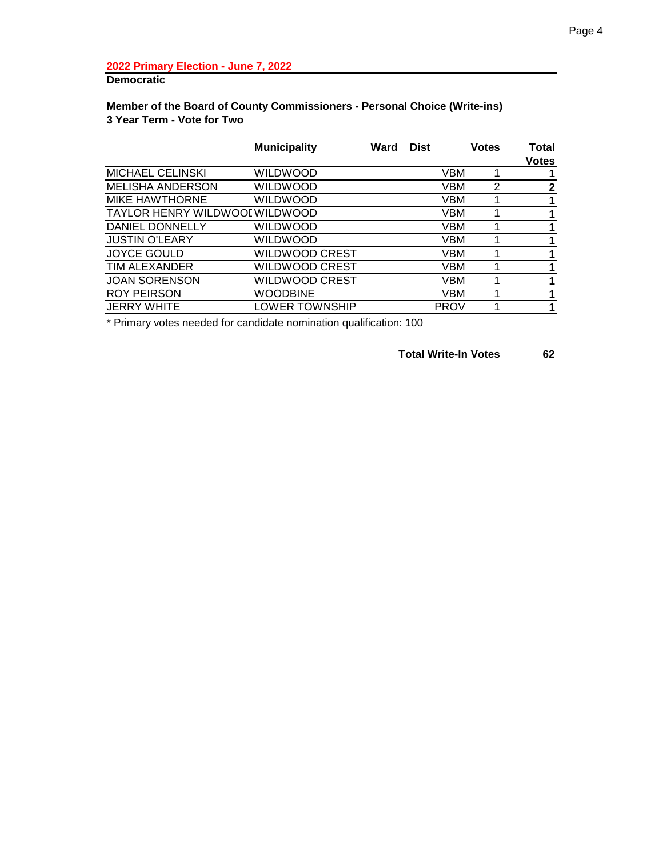# **Democratic**

## **Member of the Board of County Commissioners - Personal Choice (Write-ins) 3 Year Term - Vote for Two**

|                                | <b>Municipality</b> | Ward | <b>Dist</b> |             | <b>Votes</b> | Total<br><b>Votes</b> |
|--------------------------------|---------------------|------|-------------|-------------|--------------|-----------------------|
| <b>MICHAEL CELINSKI</b>        | WILDWOOD            |      |             | VBM         |              |                       |
| MELISHA ANDERSON               | WILDWOOD            |      |             | <b>VBM</b>  | 2            | $\mathbf{2}$          |
| <b>MIKE HAWTHORNE</b>          | WILDWOOD            |      |             | <b>VBM</b>  |              |                       |
| TAYLOR HENRY WILDWOOI WILDWOOD |                     |      |             | VBM         |              |                       |
| DANIEL DONNELLY                | WILDWOOD            |      |             | VBM         |              |                       |
| <b>JUSTIN O'LEARY</b>          | WILDWOOD            |      |             | VBM         |              |                       |
| <b>JOYCE GOULD</b>             | WILDWOOD CREST      |      |             | VBM         |              |                       |
| TIM ALEXANDER                  | WILDWOOD CREST      |      |             | VBM         |              | 1                     |
| <b>JOAN SORENSON</b>           | WILDWOOD CREST      |      |             | VBM         |              |                       |
| <b>ROY PEIRSON</b>             | <b>WOODBINE</b>     |      |             | <b>VBM</b>  |              |                       |
| <b>JERRY WHITE</b>             | LOWER TOWNSHIP      |      |             | <b>PROV</b> |              |                       |

\* Primary votes needed for candidate nomination qualification: 100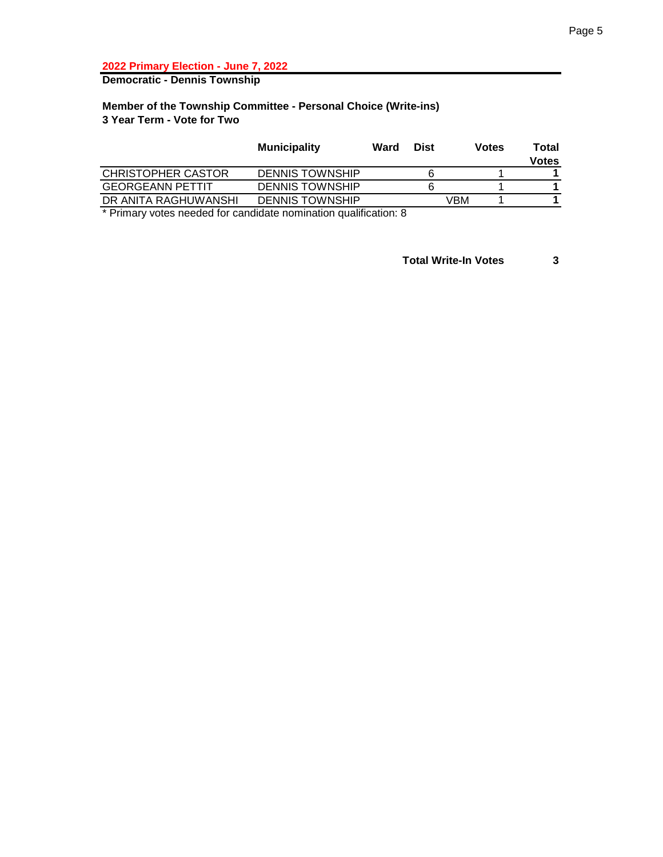**Democratic - Dennis Township**

## **Member of the Township Committee - Personal Choice (Write-ins) 3 Year Term - Vote for Two**

|                           | <b>Municipality</b>    | Ward | <b>Dist</b> | <b>Votes</b> | Total        |
|---------------------------|------------------------|------|-------------|--------------|--------------|
|                           |                        |      |             |              | <b>Votes</b> |
| <b>CHRISTOPHER CASTOR</b> | <b>DENNIS TOWNSHIP</b> |      | 6           |              |              |
| <b>GEORGEANN PETTIT</b>   | <b>DENNIS TOWNSHIP</b> |      |             |              |              |
| DR ANITA RAGHUWANSHI      | <b>DENNIS TOWNSHIP</b> |      | ∨BM         |              |              |
|                           |                        |      |             |              |              |

\* Primary votes needed for candidate nomination qualification: 8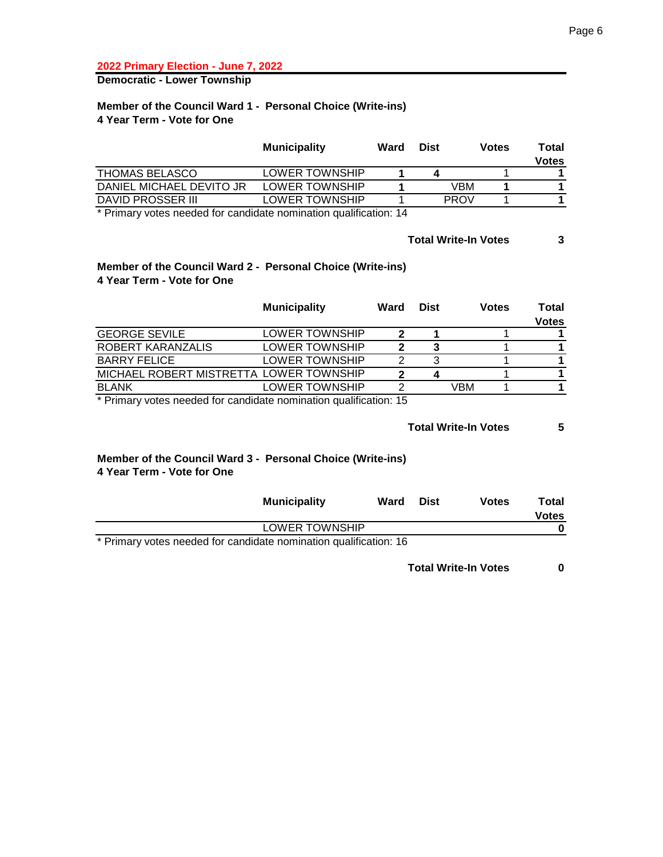**Democratic - Lower Township**

#### **Member of the Council Ward 1 - Personal Choice (Write-ins) 4 Year Term - Vote for One**

|                          | <b>Municipality</b>   | Ward | <b>Dist</b> | <b>Votes</b> | Total |
|--------------------------|-----------------------|------|-------------|--------------|-------|
|                          |                       |      |             |              | Votes |
| <b>THOMAS BELASCO</b>    | <b>LOWER TOWNSHIP</b> |      |             |              |       |
| DANIEL MICHAEL DEVITO JR | LOWER TOWNSHIP        |      | VBM         |              |       |
| DAVID PROSSER III        | LOWER TOWNSHIP        |      | <b>PROV</b> |              |       |

\* Primary votes needed for candidate nomination qualification: 14

## **Total Write-In Votes 3**

#### **Member of the Council Ward 2 - Personal Choice (Write-ins) 4 Year Term - Vote for One**

|                                         | <b>Municipality</b> | Ward | <b>Dist</b> | <b>Votes</b> | Total<br><b>Votes</b> |
|-----------------------------------------|---------------------|------|-------------|--------------|-----------------------|
| <b>GEORGE SEVILE</b>                    | LOWER TOWNSHIP      | າ    |             |              |                       |
| ROBERT KARANZALIS                       | LOWER TOWNSHIP      |      | 3           |              |                       |
| <b>BARRY FELICE</b>                     | LOWER TOWNSHIP      | っ    | 3           |              |                       |
| MICHAEL ROBERT MISTRETTA LOWER TOWNSHIP |                     | າ    |             |              |                       |
| <b>BLANK</b>                            | LOWER TOWNSHIP      | ົ    |             | VBM          |                       |

\* Primary votes needed for candidate nomination qualification: 15

**Total Write-In Votes 5**

#### **Member of the Council Ward 3 - Personal Choice (Write-ins) 4 Year Term - Vote for One**

| <b>Municipality</b>                                               | Ward | <b>Dist</b> | <b>Votes</b> | Total        |
|-------------------------------------------------------------------|------|-------------|--------------|--------------|
|                                                                   |      |             |              | <b>Votes</b> |
| LOWER TOWNSHIP                                                    |      |             |              |              |
| * Primary votes needed for candidate nomination qualification: 16 |      |             |              |              |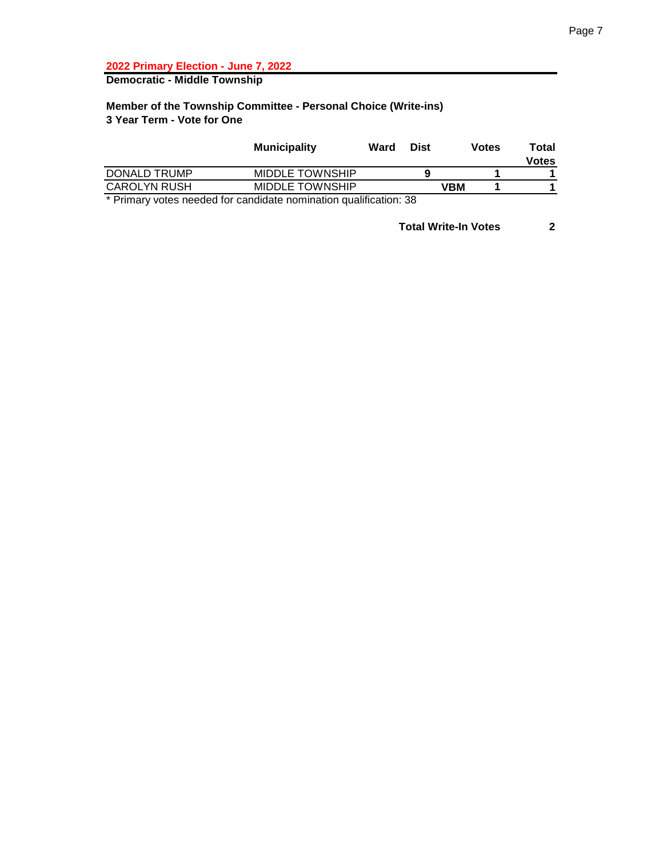**Democratic - Middle Township**

#### **Member of the Township Committee - Personal Choice (Write-ins) 3 Year Term - Vote for One**

|                     | <b>Municipality</b>    | Ward | <b>Dist</b> | <b>Votes</b> | Total<br><b>Votes</b> |
|---------------------|------------------------|------|-------------|--------------|-----------------------|
| DONALD TRUMP        | <b>MIDDLE TOWNSHIP</b> |      |             |              |                       |
| <b>CAROLYN RUSH</b> | <b>MIDDLE TOWNSHIP</b> |      |             | VBM          |                       |
| . .<br>.            | $\sim$                 |      | - -         |              |                       |

\* Primary votes needed for candidate nomination qualification: 38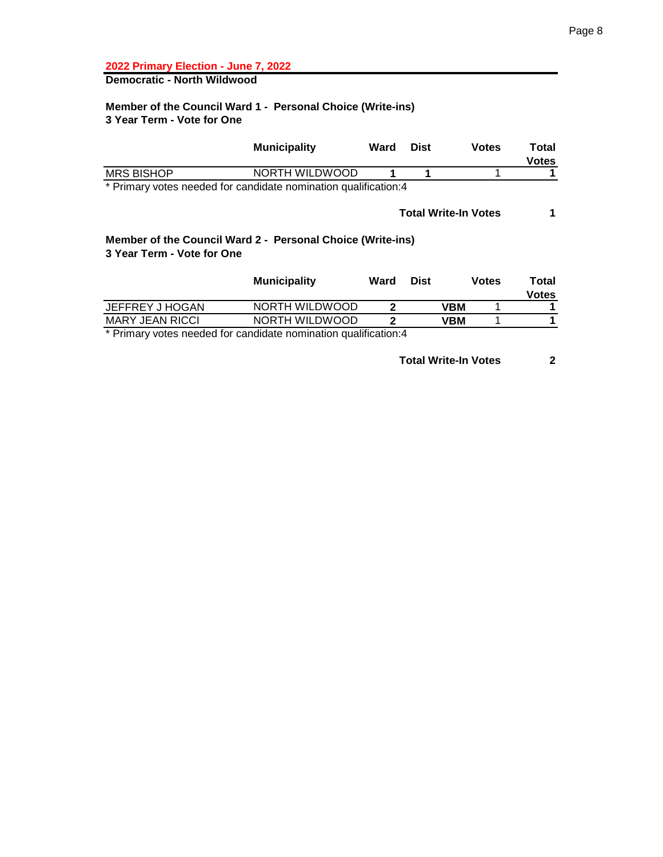# **Democratic - North Wildwood**

## **Member of the Council Ward 1 - Personal Choice (Write-ins) 3 Year Term - Vote for One**

|                            | <b>Municipality</b>                                             | Ward | <b>Dist</b> | <b>Votes</b>                | Total<br><b>Votes</b> |
|----------------------------|-----------------------------------------------------------------|------|-------------|-----------------------------|-----------------------|
| <b>MRS BISHOP</b>          | NORTH WILDWOOD                                                  |      |             |                             |                       |
|                            | * Primary votes needed for candidate nomination qualification:4 |      |             |                             |                       |
|                            |                                                                 |      |             | <b>Total Write-In Votes</b> |                       |
| 3 Year Term - Vote for One | Member of the Council Ward 2 - Personal Choice (Write-ins)      |      |             |                             |                       |
|                            | <b>Municipality</b>                                             | Ward | <b>Dist</b> | <b>Votes</b>                | Total<br>Votes        |

|                        | <b>HUMINOIPUNT</b> | <br>ייש | ,,,,, | .     |
|------------------------|--------------------|---------|-------|-------|
|                        |                    |         |       | Votes |
| JEFFREY J HOGAN        | NORTH WILDWOOD     | VBM     |       |       |
| <b>MARY JEAN RICCI</b> | NORTH WILDWOOD     | VBM     |       |       |
| .                      |                    |         |       |       |

\* Primary votes needed for candidate nomination qualification:4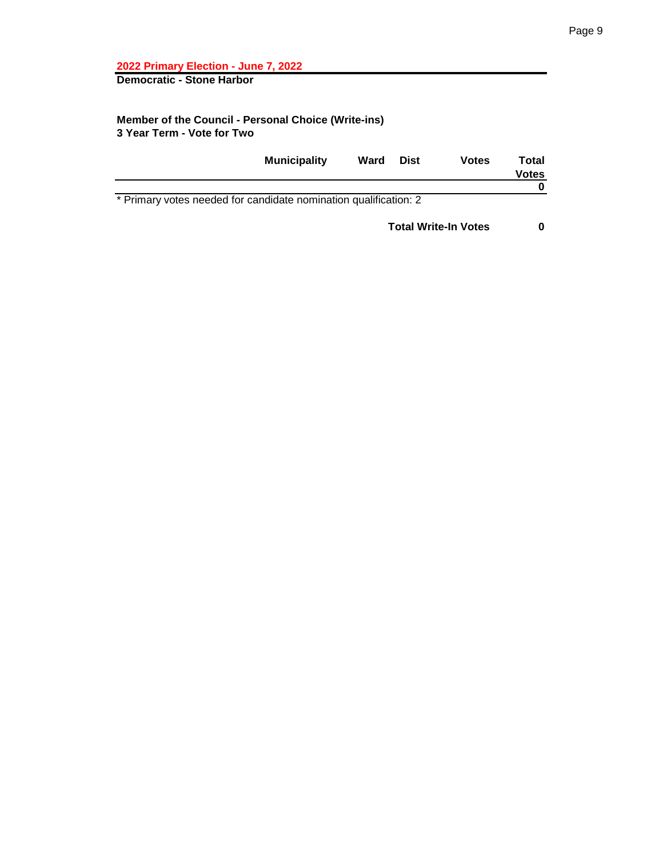**Democratic - Stone Harbor**

## **Member of the Council - Personal Choice (Write-ins) 3 Year Term - Vote for Two**

|                                                                  | <b>Municipality</b> | Ward | <b>Dist</b> | Votes | Total<br><b>Votes</b> |
|------------------------------------------------------------------|---------------------|------|-------------|-------|-----------------------|
|                                                                  |                     |      |             |       |                       |
| * Primary votes needed for candidate nomination qualification: 2 |                     |      |             |       |                       |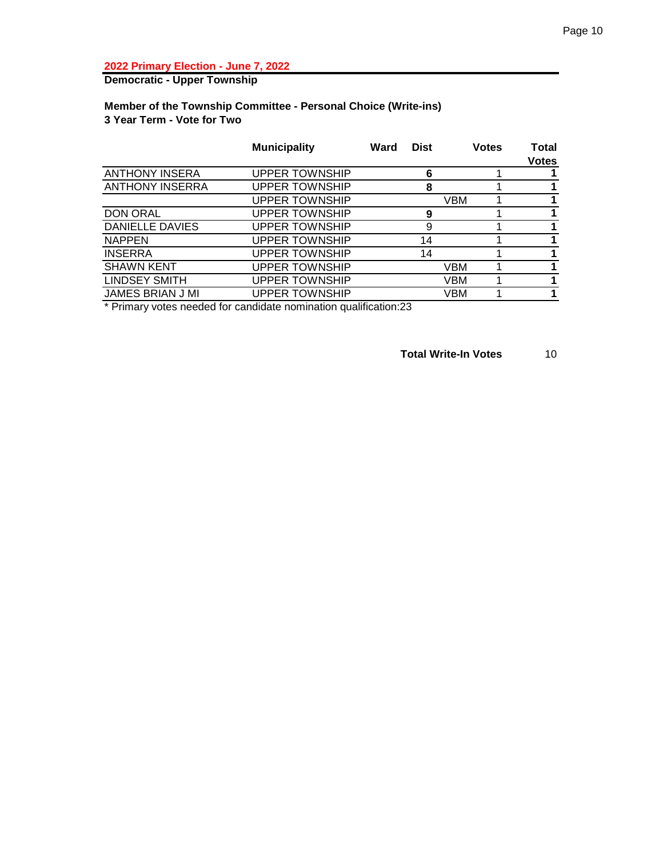**Democratic - Upper Township**

#### **Member of the Township Committee - Personal Choice (Write-ins) 3 Year Term - Vote for Two**

|                        | <b>Municipality</b>   | Ward | <b>Dist</b> |     | <b>Votes</b> | Total<br><b>Votes</b> |
|------------------------|-----------------------|------|-------------|-----|--------------|-----------------------|
| <b>ANTHONY INSERA</b>  | <b>UPPER TOWNSHIP</b> |      | 6           |     |              |                       |
| <b>ANTHONY INSERRA</b> | <b>UPPER TOWNSHIP</b> |      | 8           |     |              |                       |
|                        | <b>UPPER TOWNSHIP</b> |      |             | VBM |              |                       |
| <b>DON ORAL</b>        | <b>UPPER TOWNSHIP</b> |      | 9           |     |              |                       |
| DANIELLE DAVIES        | <b>UPPER TOWNSHIP</b> |      | 9           |     |              |                       |
| <b>NAPPEN</b>          | <b>UPPER TOWNSHIP</b> |      | 14          |     |              |                       |
| <b>INSERRA</b>         | <b>UPPER TOWNSHIP</b> |      | 14          |     |              |                       |
| <b>SHAWN KENT</b>      | <b>UPPER TOWNSHIP</b> |      |             | VBM |              |                       |
| <b>LINDSEY SMITH</b>   | <b>UPPER TOWNSHIP</b> |      |             | VBM |              |                       |
| JAMES BRIAN J MI       | <b>UPPER TOWNSHIP</b> |      |             | VBM |              |                       |
|                        |                       |      |             |     |              |                       |

\* Primary votes needed for candidate nomination qualification:23